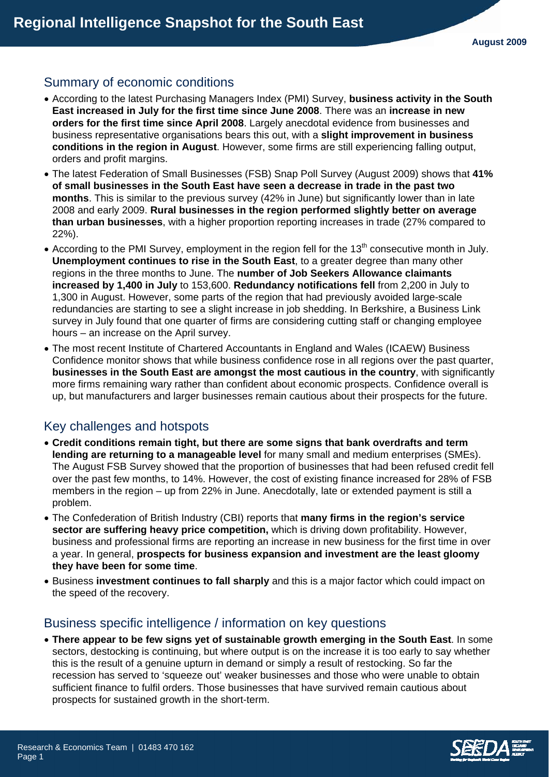## Summary of economic conditions

- According to the latest Purchasing Managers Index (PMI) Survey, **business activity in the South East increased in July for the first time since June 2008**. There was an **increase in new orders for the first time since April 2008**. Largely anecdotal evidence from businesses and business representative organisations bears this out, with a **slight improvement in business conditions in the region in August**. However, some firms are still experiencing falling output, orders and profit margins.
- The latest Federation of Small Businesses (FSB) Snap Poll Survey (August 2009) shows that **41% of small businesses in the South East have seen a decrease in trade in the past two months**. This is similar to the previous survey (42% in June) but significantly lower than in late 2008 and early 2009. **Rural businesses in the region performed slightly better on average than urban businesses**, with a higher proportion reporting increases in trade (27% compared to 22%).
- According to the PMI Survey, employment in the region fell for the 13<sup>th</sup> consecutive month in July. **Unemployment continues to rise in the South East**, to a greater degree than many other regions in the three months to June. The **number of Job Seekers Allowance claimants increased by 1,400 in July** to 153,600. **Redundancy notifications fell** from 2,200 in July to 1,300 in August. However, some parts of the region that had previously avoided large-scale redundancies are starting to see a slight increase in job shedding. In Berkshire, a Business Link survey in July found that one quarter of firms are considering cutting staff or changing employee hours – an increase on the April survey.
- The most recent Institute of Chartered Accountants in England and Wales (ICAEW) Business Confidence monitor shows that while business confidence rose in all regions over the past quarter, **businesses in the South East are amongst the most cautious in the country**, with significantly more firms remaining wary rather than confident about economic prospects. Confidence overall is up, but manufacturers and larger businesses remain cautious about their prospects for the future.

# Key challenges and hotspots

- **Credit conditions remain tight, but there are some signs that bank overdrafts and term lending are returning to a manageable level** for many small and medium enterprises (SMEs). The August FSB Survey showed that the proportion of businesses that had been refused credit fell over the past few months, to 14%. However, the cost of existing finance increased for 28% of FSB members in the region – up from 22% in June. Anecdotally, late or extended payment is still a problem.
- The Confederation of British Industry (CBI) reports that **many firms in the region's service sector are suffering heavy price competition,** which is driving down profitability. However, business and professional firms are reporting an increase in new business for the first time in over a year. In general, **prospects for business expansion and investment are the least gloomy they have been for some time**.
- Business **investment continues to fall sharply** and this is a major factor which could impact on the speed of the recovery.

### Business specific intelligence / information on key questions

• **There appear to be few signs yet of sustainable growth emerging in the South East**. In some sectors, destocking is continuing, but where output is on the increase it is too early to say whether this is the result of a genuine upturn in demand or simply a result of restocking. So far the recession has served to 'squeeze out' weaker businesses and those who were unable to obtain sufficient finance to fulfil orders. Those businesses that have survived remain cautious about prospects for sustained growth in the short-term.

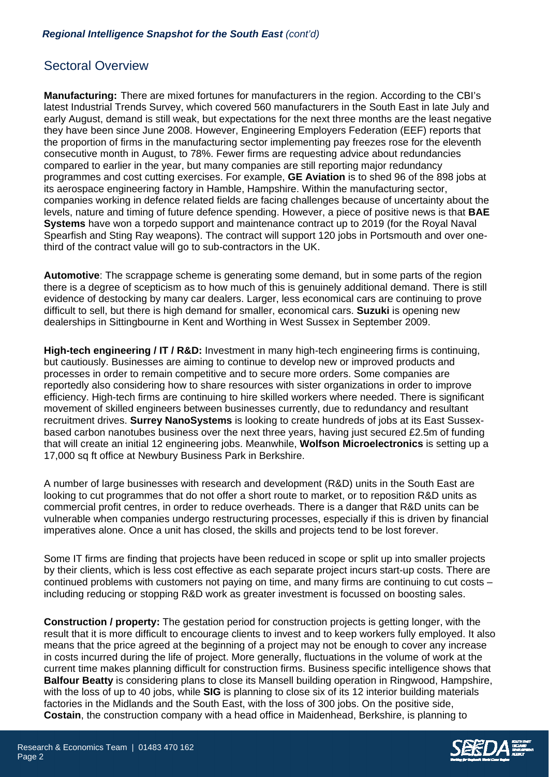### Sectoral Overview

**Manufacturing:** There are mixed fortunes for manufacturers in the region. According to the CBI's latest Industrial Trends Survey, which covered 560 manufacturers in the South East in late July and early August, demand is still weak, but expectations for the next three months are the least negative they have been since June 2008. However, Engineering Employers Federation (EEF) reports that the proportion of firms in the manufacturing sector implementing pay freezes rose for the eleventh consecutive month in August, to 78%. Fewer firms are requesting advice about redundancies compared to earlier in the year, but many companies are still reporting major redundancy programmes and cost cutting exercises. For example, **GE Aviation** is to shed 96 of the 898 jobs at its aerospace engineering factory in Hamble, Hampshire. Within the manufacturing sector, companies working in defence related fields are facing challenges because of uncertainty about the levels, nature and timing of future defence spending. However, a piece of positive news is that **BAE Systems** have won a torpedo support and maintenance contract up to 2019 (for the Royal Naval Spearfish and Sting Ray weapons). The contract will support 120 jobs in Portsmouth and over onethird of the contract value will go to sub-contractors in the UK.

**Automotive**: The scrappage scheme is generating some demand, but in some parts of the region there is a degree of scepticism as to how much of this is genuinely additional demand. There is still evidence of destocking by many car dealers. Larger, less economical cars are continuing to prove difficult to sell, but there is high demand for smaller, economical cars. **Suzuki** is opening new dealerships in Sittingbourne in Kent and Worthing in West Sussex in September 2009.

**High-tech engineering / IT / R&D:** Investment in many high-tech engineering firms is continuing, but cautiously. Businesses are aiming to continue to develop new or improved products and processes in order to remain competitive and to secure more orders. Some companies are reportedly also considering how to share resources with sister organizations in order to improve efficiency. High-tech firms are continuing to hire skilled workers where needed. There is significant movement of skilled engineers between businesses currently, due to redundancy and resultant recruitment drives. **Surrey NanoSystems** is looking to create hundreds of jobs at its East Sussexbased carbon nanotubes business over the next three years, having just secured £2.5m of funding that will create an initial 12 engineering jobs. Meanwhile, **Wolfson Microelectronics** is setting up a 17,000 sq ft office at Newbury Business Park in Berkshire.

A number of large businesses with research and development (R&D) units in the South East are looking to cut programmes that do not offer a short route to market, or to reposition R&D units as commercial profit centres, in order to reduce overheads. There is a danger that R&D units can be vulnerable when companies undergo restructuring processes, especially if this is driven by financial imperatives alone. Once a unit has closed, the skills and projects tend to be lost forever.

Some IT firms are finding that projects have been reduced in scope or split up into smaller projects by their clients, which is less cost effective as each separate project incurs start-up costs. There are continued problems with customers not paying on time, and many firms are continuing to cut costs – including reducing or stopping R&D work as greater investment is focussed on boosting sales.

**Construction / property:** The gestation period for construction projects is getting longer, with the result that it is more difficult to encourage clients to invest and to keep workers fully employed. It also means that the price agreed at the beginning of a project may not be enough to cover any increase in costs incurred during the life of project. More generally, fluctuations in the volume of work at the current time makes planning difficult for construction firms. Business specific intelligence shows that **Balfour Beatty** is considering plans to close its Mansell building operation in Ringwood, Hampshire, with the loss of up to 40 jobs, while **SIG** is planning to close six of its 12 interior building materials factories in the Midlands and the South East, with the loss of 300 jobs. On the positive side, **Costain**, the construction company with a head office in Maidenhead, Berkshire, is planning to

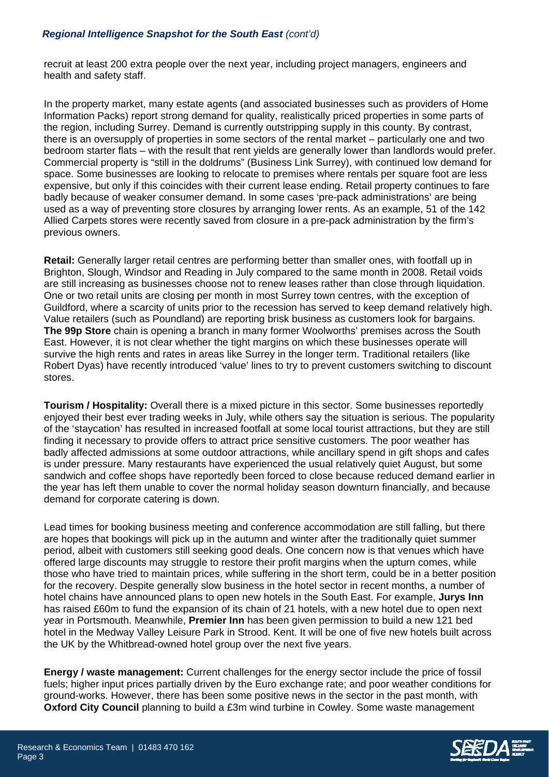#### *Regional Intelligence Snapshot for the South East (cont'd)*

recruit at least 200 extra people over the next year, including project managers, engineers and health and safety staff.

In the property market, many estate agents (and associated businesses such as providers of Home Information Packs) report strong demand for quality, realistically priced properties in some parts of the region, including Surrey. Demand is currently outstripping supply in this county. By contrast, there is an oversupply of properties in some sectors of the rental market – particularly one and two bedroom starter flats – with the result that rent yields are generally lower than landlords would prefer. Commercial property is "still in the doldrums" (Business Link Surrey), with continued low demand for space. Some businesses are looking to relocate to premises where rentals per square foot are less expensive, but only if this coincides with their current lease ending. Retail property continues to fare badly because of weaker consumer demand. In some cases 'pre-pack administrations' are being used as a way of preventing store closures by arranging lower rents. As an example, 51 of the 142 Allied Carpets stores were recently saved from closure in a pre-pack administration by the firm's previous owners.

**Retail:** Generally larger retail centres are performing better than smaller ones, with footfall up in Brighton, Slough, Windsor and Reading in July compared to the same month in 2008. Retail voids are still increasing as businesses choose not to renew leases rather than close through liquidation. One or two retail units are closing per month in most Surrey town centres, with the exception of Guildford, where a scarcity of units prior to the recession has served to keep demand relatively high. Value retailers (such as Poundland) are reporting brisk business as customers look for bargains. **The 99p Store** chain is opening a branch in many former Woolworths' premises across the South East. However, it is not clear whether the tight margins on which these businesses operate will survive the high rents and rates in areas like Surrey in the longer term. Traditional retailers (like Robert Dyas) have recently introduced 'value' lines to try to prevent customers switching to discount stores.

**Tourism / Hospitality:** Overall there is a mixed picture in this sector. Some businesses reportedly enjoyed their best ever trading weeks in July, while others say the situation is serious. The popularity of the 'staycation' has resulted in increased footfall at some local tourist attractions, but they are still finding it necessary to provide offers to attract price sensitive customers. The poor weather has badly affected admissions at some outdoor attractions, while ancillary spend in gift shops and cafes is under pressure. Many restaurants have experienced the usual relatively quiet August, but some sandwich and coffee shops have reportedly been forced to close because reduced demand earlier in the year has left them unable to cover the normal holiday season downturn financially, and because demand for corporate catering is down.

Lead times for booking business meeting and conference accommodation are still falling, but there are hopes that bookings will pick up in the autumn and winter after the traditionally quiet summer period, albeit with customers still seeking good deals. One concern now is that venues which have offered large discounts may struggle to restore their profit margins when the upturn comes, while those who have tried to maintain prices, while suffering in the short term, could be in a better position for the recovery. Despite generally slow business in the hotel sector in recent months, a number of hotel chains have announced plans to open new hotels in the South East. For example, **Jurys Inn** has raised £60m to fund the expansion of its chain of 21 hotels, with a new hotel due to open next year in Portsmouth. Meanwhile, **Premier Inn** has been given permission to build a new 121 bed hotel in the Medway Valley Leisure Park in Strood. Kent. It will be one of five new hotels built across the UK by the Whitbread-owned hotel group over the next five years.

**Energy / waste management:** Current challenges for the energy sector include the price of fossil fuels; higher input prices partially driven by the Euro exchange rate; and poor weather conditions for ground-works. However, there has been some positive news in the sector in the past month, with **Oxford City Council** planning to build a £3m wind turbine in Cowley. Some waste management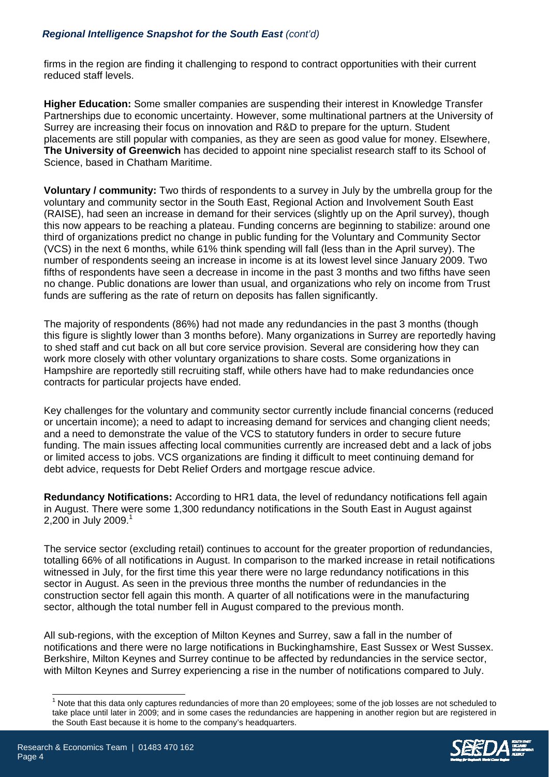### *Regional Intelligence Snapshot for the South East (cont'd)*

firms in the region are finding it challenging to respond to contract opportunities with their current reduced staff levels.

**Higher Education:** Some smaller companies are suspending their interest in Knowledge Transfer Partnerships due to economic uncertainty. However, some multinational partners at the University of Surrey are increasing their focus on innovation and R&D to prepare for the upturn. Student placements are still popular with companies, as they are seen as good value for money. Elsewhere, **The University of Greenwich** has decided to appoint nine specialist research staff to its School of Science, based in Chatham Maritime.

**Voluntary / community:** Two thirds of respondents to a survey in July by the umbrella group for the voluntary and community sector in the South East, Regional Action and Involvement South East (RAISE), had seen an increase in demand for their services (slightly up on the April survey), though this now appears to be reaching a plateau. Funding concerns are beginning to stabilize: around one third of organizations predict no change in public funding for the Voluntary and Community Sector (VCS) in the next 6 months, while 61% think spending will fall (less than in the April survey). The number of respondents seeing an increase in income is at its lowest level since January 2009. Two fifths of respondents have seen a decrease in income in the past 3 months and two fifths have seen no change. Public donations are lower than usual, and organizations who rely on income from Trust funds are suffering as the rate of return on deposits has fallen significantly.

The majority of respondents (86%) had not made any redundancies in the past 3 months (though this figure is slightly lower than 3 months before). Many organizations in Surrey are reportedly having to shed staff and cut back on all but core service provision. Several are considering how they can work more closely with other voluntary organizations to share costs. Some organizations in Hampshire are reportedly still recruiting staff, while others have had to make redundancies once contracts for particular projects have ended.

Key challenges for the voluntary and community sector currently include financial concerns (reduced or uncertain income); a need to adapt to increasing demand for services and changing client needs; and a need to demonstrate the value of the VCS to statutory funders in order to secure future funding. The main issues affecting local communities currently are increased debt and a lack of jobs or limited access to jobs. VCS organizations are finding it difficult to meet continuing demand for debt advice, requests for Debt Relief Orders and mortgage rescue advice.

**Redundancy Notifications:** According to HR1 data, the level of redundancy notifications fell again in August. There were some 1,300 redundancy notifications in the South East in August against 2,200 in July 2009.<sup>1</sup>

The service sector (excluding retail) continues to account for the greater proportion of redundancies, totalling 66% of all notifications in August. In comparison to the marked increase in retail notifications witnessed in July, for the first time this year there were no large redundancy notifications in this sector in August. As seen in the previous three months the number of redundancies in the construction sector fell again this month. A quarter of all notifications were in the manufacturing sector, although the total number fell in August compared to the previous month.

All sub-regions, with the exception of Milton Keynes and Surrey, saw a fall in the number of notifications and there were no large notifications in Buckinghamshire, East Sussex or West Sussex. Berkshire, Milton Keynes and Surrey continue to be affected by redundancies in the service sector, with Milton Keynes and Surrey experiencing a rise in the number of notifications compared to July.

 $\overline{\phantom{a}}$ 

<sup>1</sup> Note that this data only captures redundancies of more than 20 employees; some of the job losses are not scheduled to take place until later in 2009; and in some cases the redundancies are happening in another region but are registered in the South East because it is home to the company's headquarters.